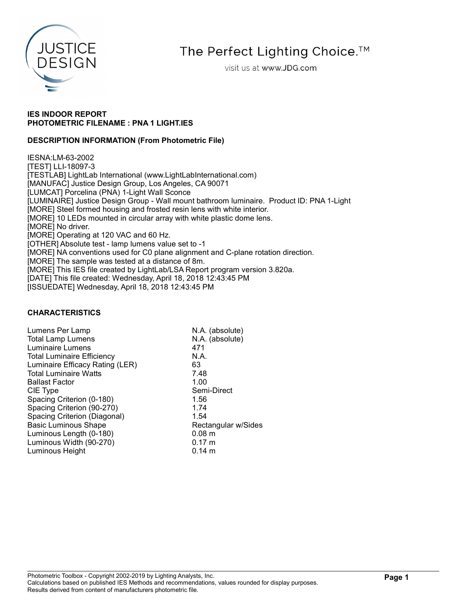

The Perfect Lighting Choice.<sup>™</sup>

visit us at www.JDG.com

## IES INDOOR REPORT PHOTOMETRIC FILENAME : PNA 1 LIGHT.IES

## DESCRIPTION INFORMATION (From Photometric File)

IESNA:LM-63-2002 [TEST] LLI-18097-3 [TESTLAB] LightLab International (www.LightLabInternational.com) [MANUFAC] Justice Design Group, Los Angeles, CA 90071 [LUMCAT] Porcelina (PNA) 1-Light Wall Sconce [LUMINAIRE] Justice Design Group - Wall mount bathroom luminaire. Product ID: PNA 1-Light [MORE] Steel formed housing and frosted resin lens with white interior. [MORE] 10 LEDs mounted in circular array with white plastic dome lens. [MORE] No driver. [MORE] Operating at 120 VAC and 60 Hz. [OTHER] Absolute test - lamp lumens value set to -1 [MORE] NA conventions used for C0 plane alignment and C-plane rotation direction. [MORE] The sample was tested at a distance of 8m. [MORE] This IES file created by LightLab/LSA Report program version 3.820a. [DATE] This file created: Wednesday, April 18, 2018 12:43:45 PM [ISSUEDATE] Wednesday, April 18, 2018 12:43:45 PM

### CHARACTERISTICS

| Lumens Per Lamp                   | N.A. (absolute)     |
|-----------------------------------|---------------------|
| <b>Total Lamp Lumens</b>          | N.A. (absolute)     |
| Luminaire Lumens                  | 471                 |
| <b>Total Luminaire Efficiency</b> | N.A.                |
| Luminaire Efficacy Rating (LER)   | 63                  |
| <b>Total Luminaire Watts</b>      | 7.48                |
| <b>Ballast Factor</b>             | 1.00                |
| CIE Type                          | Semi-Direct         |
| Spacing Criterion (0-180)         | 1.56                |
| Spacing Criterion (90-270)        | 1.74                |
| Spacing Criterion (Diagonal)      | 1.54                |
| <b>Basic Luminous Shape</b>       | Rectangular w/Sides |
| Luminous Length (0-180)           | 0.08 m              |
| Luminous Width (90-270)           | $0.17 \; m$         |
| Luminous Height                   | $0.14 \; m$         |
|                                   |                     |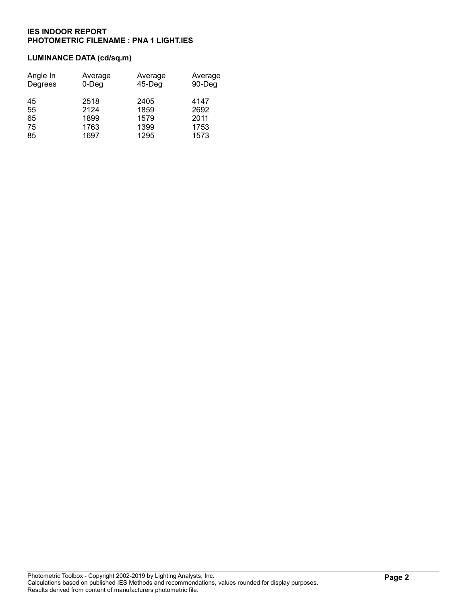# LUMINANCE DATA (cd/sq.m)

| Angle In | Average | Average   | Average |
|----------|---------|-----------|---------|
| Degrees  | 0-Deg   | $45$ -Deg | 90-Deg  |
| 45       | 2518    | 2405      | 4147    |
| 55       | 2124    | 1859      | 2692    |
| 65       | 1899    | 1579      | 2011    |
| 75       | 1763    | 1399      | 1753    |
| 85       | 1697    | 1295      | 1573    |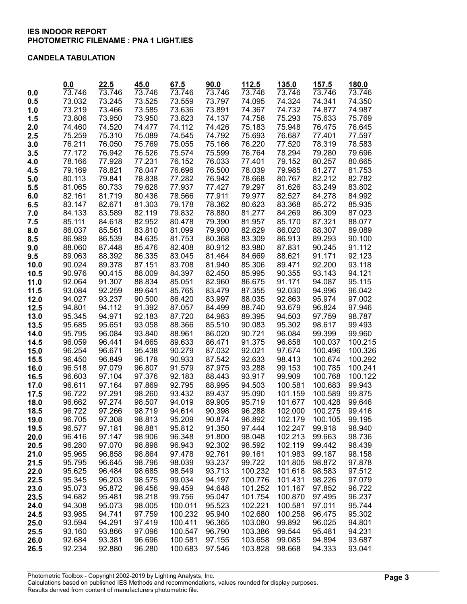#### CANDELA TABULATION

|              | 0.0              | 22.5             | 45.0                | 67.5              | 90.0             | 112.5              | 135.0              | 157.5            | 180.0            |
|--------------|------------------|------------------|---------------------|-------------------|------------------|--------------------|--------------------|------------------|------------------|
| 0.0          | 73.746           | 73.746           | $\overline{73.7}46$ | 73.746            | 73.746           | 73.746             | 73.746             | 73.746           | 73.746           |
| 0.5          | 73.032           | 73.245           | 73.525              | 73.559            | 73.797           | 74.095             | 74.324             | 74.341           | 74.350           |
| 1.0          | 73.219           | 73.466           | 73.585              | 73.636            | 73.891           | 74.367             | 74.732             | 74.877           | 74.987           |
| 1.5          | 73.806           | 73.950           | 73.950              | 73.823            | 74.137           | 74.758             | 75.293             | 75.633           | 75.769           |
| 2.0          | 74.460           | 74.520           | 74.477              | 74.112            | 74.426           | 75.183             | 75.948             | 76.475           | 76.645           |
| 2.5          | 75.259           | 75.310           | 75.089              | 74.545            | 74.792           | 75.693             | 76.687             | 77.401           | 77.597           |
| 3.0          | 76.211           | 76.050           | 75.769              | 75.055            | 75.166           | 76.220             | 77.520             | 78.319           | 78.583           |
| 3.5          | 77.172           | 76.942           | 76.526              | 75.574            | 75.599           | 76.764             | 78.294             | 79.280           | 79.696           |
| 4.0          | 78.166           | 77.928           | 77.231              | 76.152            | 76.033           | 77.401             | 79.152             | 80.257           | 80.665           |
| 4.5          | 79.169           | 78.821           | 78.047              | 76.696            | 76.500           | 78.039             | 79.985             | 81.277           | 81.753           |
| 5.0          | 80.113           | 79.841           | 78.838              | 77.282            | 76.942           | 78.668             | 80.767             | 82.212           | 82.782           |
| 5.5          | 81.065           | 80.733           | 79.628              | 77.937            | 77.427           | 79.297             | 81.626             | 83.249           | 83.802           |
| 6.0          | 82.161           | 81.719           | 80.436              | 78.566            | 77.911           | 79.977             | 82.527             | 84.278           | 84.992           |
| 6.5          | 83.147           | 82.671           | 81.303              | 79.178            | 78.362           | 80.623             | 83.368             | 85.272           | 85.935           |
| 7.0          | 84.133           | 83.589           | 82.119              | 79.832            | 78.880           | 81.277             | 84.269             | 86.309           | 87.023           |
| 7.5          | 85.111           | 84.618           | 82.952              | 80.478            | 79.390           | 81.957             | 85.170             | 87.321           | 88.077           |
| 8.0          | 86.037           | 85.561           | 83.810              | 81.099            | 79.900           | 82.629             | 86.020             | 88.307           | 89.089           |
| 8.5          | 86.989           | 86.539           | 84.635              | 81.753            | 80.368           | 83.309             | 86.913             | 89.293           | 90.100           |
| 9.0          | 88.060           | 87.448           | 85.476              | 82.408            | 80.912           | 83.980             | 87.831             | 90.245           | 91.112           |
| 9.5          | 89.063           | 88.392           | 86.335              | 83.045            | 81.464           | 84.669             | 88.621             | 91.171           | 92.123           |
| 10.0         | 90.024           | 89.378           | 87.151              | 83.708            | 81.940           | 85.306             | 89.471             | 92.200           | 93.118           |
| 10.5         | 90.976           | 90.415           | 88.009              | 84.397            | 82.450           | 85.995             | 90.355             | 93.143           | 94.121           |
| 11.0         | 92.064           | 91.307           | 88.834              | 85.051            | 82.960           | 86.675             | 91.171             | 94.087           | 95.115           |
| 11.5         | 93.084           | 92.259           | 89.641              | 85.765            | 83.479           | 87.355             | 92.030             | 94.996           | 96.042           |
| 12.0         | 94.027           | 93.237           | 90.500              | 86.420            | 83.997           | 88.035             | 92.863             | 95.974           | 97.002           |
| 12.5         | 94.801           | 94.112           | 91.392              | 87.057            | 84.499           | 88.740             | 93.679             | 96.824           | 97.946           |
| 13.0         | 95.345           | 94.971           | 92.183              | 87.720            | 84.983           | 89.395             | 94.503             | 97.759           | 98.787           |
| 13.5         | 95.685           | 95.651           | 93.058              | 88.366            | 85.510           | 90.083             | 95.302             | 98.617           | 99.493           |
| 14.0         | 95.795           | 96.084           | 93.840              | 88.961            | 86.020           | 90.721             | 96.084             | 99.399           | 99.960           |
| 14.5         | 96.059           | 96.441           | 94.665              | 89.633            | 86.471           | 91.375             | 96.858             | 100.037          | 100.215          |
| 15.0         | 96.254           | 96.671           | 95.438              | 90.279            | 87.032           | 92.021             | 97.674             | 100.496          | 100.326          |
| 15.5         | 96.450           | 96.849           | 96.178              | 90.933            | 87.542           | 92.633             | 98.413             | 100.674          | 100.292          |
| 16.0         | 96.518           | 97.079           | 96.807              | 91.579            | 87.975           | 93.288             | 99.153             | 100.785          | 100.241          |
| 16.5         | 96.603           | 97.104           | 97.376              | 92.183            | 88.443           | 93.917             | 99.909             | 100.768          | 100.122          |
| 17.0         | 96.611           | 97.164           | 97.869              | 92.795            | 88.995           | 94.503             | 100.581            | 100.683          | 99.943           |
| 17.5         | 96.722           | 97.291           | 98.260              | 93.432            | 89.437           | 95.090             | 101.159            | 100.589          | 99.875           |
| 18.0         | 96.662           | 97.274           | 98.507              | 94.019            | 89.905           | 95.719             | 101.677            | 100.428          | 99.646           |
| 18.5         | 96.722           | 97.266           | 98.719              | 94.614            | 90.398           | 96.288             | 102.000            | 100.275          | 99.416           |
| 19.0         | 96.705           | 97.308           | 98.813              | 95.209            | 90.874           | 96.892             | 102.179            | 100.105          | 99.195           |
| 19.5         | 96.577           | 97.181           | 98.881              | 95.812            | 91.350           | 97.444             | 102.247            | 99.918           | 98.940           |
| 20.0         | 96.416           | 97.147           | 98.906              | 96.348            | 91.800           | 98.048             | 102.213            | 99.663           | 98.736           |
| 20.5         | 96.280           | 97.070           | 98.898              | 96.943            | 92.302           | 98.592             | 102.119            | 99.442           | 98.439           |
| 21.0         | 95.965           | 96.858           | 98.864              | 97.478            | 92.761           | 99.161             | 101.983            | 99.187           | 98.158           |
| 21.5         | 95.795           | 96.645           | 98.796              | 98.039            | 93.237           | 99.722             | 101.805            | 98.872           | 97.878           |
| 22.0         | 95.625           | 96.484           | 98.685              | 98.549            | 93.713           | 100.232            | 101.618            | 98.583           | 97.512           |
| 22.5         | 95.345           | 96.203           | 98.575              | 99.034            | 94.197           | 100.776            | 101.431            | 98.226           | 97.079           |
| 23.0         | 95.073           | 95.872           | 98.456              | 99.459            | 94.648           | 101.252            | 101.167<br>100.870 | 97.852           | 96.722           |
| 23.5<br>24.0 | 94.682<br>94.308 | 95.481<br>95.073 | 98.218<br>98.005    | 99.756<br>100.011 | 95.047<br>95.523 | 101.754<br>102.221 | 100.581            | 97.495<br>97.011 | 96.237<br>95.744 |
| 24.5         | 93.985           | 94.741           | 97.759              | 100.232           | 95.940           | 102.680            | 100.258            | 96.475           | 95.302           |
| 25.0         | 93.594           | 94.291           | 97.419              | 100.411           | 96.365           | 103.080            | 99.892             | 96.025           | 94.801           |
| 25.5         | 93.160           | 93.866           | 97.096              | 100.547           | 96.790           | 103.386            | 99.544             | 95.481           | 94.231           |
| 26.0         | 92.684           | 93.381           | 96.696              | 100.581           | 97.155           | 103.658            | 99.085             | 94.894           | 93.687           |
| 26.5         | 92.234           | 92.880           | 96.280              | 100.683           | 97.546           | 103.828            | 98.668             | 94.333           | 93.041           |
|              |                  |                  |                     |                   |                  |                    |                    |                  |                  |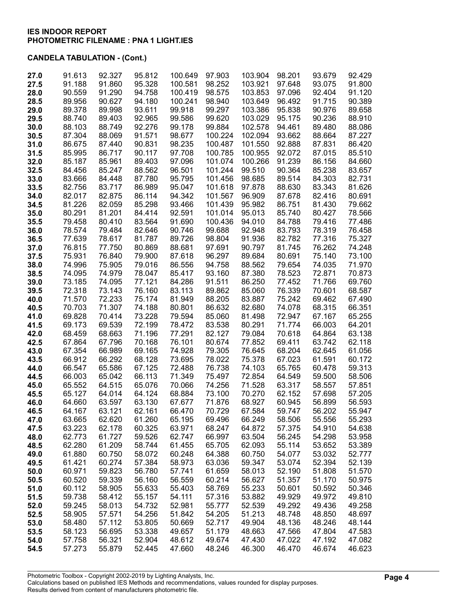| 27.0 | 91.613 | 92.327 | 95.812 | 100.649 | 97.903  | 103.904 | 98.201 | 93.679 | 92.429 |
|------|--------|--------|--------|---------|---------|---------|--------|--------|--------|
| 27.5 | 91.188 | 91.860 | 95.328 | 100.581 | 98.252  | 103.921 | 97.648 | 93.075 | 91.800 |
| 28.0 | 90.559 | 91.290 | 94.758 | 100.419 | 98.575  | 103.853 | 97.096 | 92.404 | 91.120 |
| 28.5 | 89.956 | 90.627 | 94.180 | 100.241 | 98.940  | 103.649 | 96.492 | 91.715 | 90.389 |
| 29.0 | 89.378 | 89.998 | 93.611 | 99.918  | 99.297  | 103.386 | 95.838 | 90.976 | 89.658 |
| 29.5 | 88.740 | 89.403 | 92.965 | 99.586  | 99.620  | 103.029 | 95.175 | 90.236 | 88.910 |
| 30.0 | 88.103 | 88.749 | 92.276 | 99.178  | 99.884  | 102.578 | 94.461 | 89.480 | 88.086 |
| 30.5 | 87.304 | 88.069 | 91.571 | 98.677  | 100.224 | 102.094 | 93.662 | 88.664 | 87.227 |
| 31.0 | 86.675 | 87.440 | 90.831 | 98.235  | 100.487 | 101.550 | 92.888 | 87.831 | 86.420 |
| 31.5 | 85.995 | 86.717 | 90.117 | 97.708  | 100.785 | 100.955 | 92.072 | 87.015 | 85.510 |
| 32.0 | 85.187 | 85.961 | 89.403 | 97.096  | 101.074 | 100.266 | 91.239 | 86.156 | 84.660 |
| 32.5 | 84.456 | 85.247 | 88.562 | 96.501  | 101.244 | 99.510  | 90.364 | 85.238 | 83.657 |
| 33.0 | 83.666 | 84.448 | 87.780 | 95.795  | 101.456 | 98.685  | 89.514 | 84.303 | 82.731 |
| 33.5 | 82.756 | 83.717 | 86.989 | 95.047  | 101.618 | 97.878  | 88.630 | 83.343 | 81.626 |
| 34.0 | 82.017 | 82.875 | 86.114 | 94.342  | 101.567 | 96.909  | 87.678 | 82.416 | 80.691 |
| 34.5 | 81.226 | 82.059 | 85.298 | 93.466  | 101.439 | 95.982  | 86.751 | 81.430 | 79.662 |
| 35.0 | 80.291 | 81.201 | 84.414 | 92.591  | 101.014 | 95.013  | 85.740 | 80.427 | 78.566 |
| 35.5 | 79.458 | 80.410 | 83.564 | 91.690  | 100.436 | 94.010  | 84.788 | 79.416 | 77.486 |
| 36.0 | 78.574 | 79.484 | 82.646 | 90.746  | 99.688  | 92.948  | 83.793 | 78.319 | 76.458 |
| 36.5 | 77.639 | 78.617 | 81.787 | 89.726  | 98.804  | 91.936  | 82.782 | 77.316 | 75.327 |
| 37.0 | 76.815 | 77.750 | 80.869 | 88.681  | 97.691  | 90.797  | 81.745 | 76.262 | 74.248 |
| 37.5 | 75.931 | 76.840 | 79.900 | 87.618  | 96.297  | 89.684  | 80.691 | 75.140 | 73.100 |
| 38.0 | 74.996 | 75.905 | 79.016 | 86.556  | 94.758  | 88.562  | 79.654 | 74.035 | 71.970 |
| 38.5 | 74.095 | 74.979 | 78.047 | 85.417  | 93.160  | 87.380  | 78.523 | 72.871 | 70.873 |
| 39.0 | 73.185 | 74.095 | 77.121 | 84.286  | 91.511  | 86.250  | 77.452 | 71.766 | 69.760 |
| 39.5 | 72.318 | 73.143 | 76.160 | 83.113  | 89.862  | 85.060  | 76.339 | 70.601 | 68.587 |
| 40.0 | 71.570 | 72.233 | 75.174 | 81.949  | 88.205  | 83.887  | 75.242 | 69.462 | 67.490 |
| 40.5 | 70.703 | 71.307 | 74.188 | 80.801  | 86.632  | 82.680  | 74.078 | 68.315 | 66.351 |
| 41.0 | 69.828 | 70.414 | 73.228 | 79.594  | 85.060  | 81.498  | 72.947 | 67.167 | 65.255 |
| 41.5 | 69.173 | 69.539 | 72.199 | 78.472  | 83.538  | 80.291  | 71.774 | 66.003 | 64.201 |
| 42.0 | 68.459 | 68.663 | 71.196 | 77.291  | 82.127  | 79.084  | 70.618 | 64.864 | 63.138 |
| 42.5 | 67.864 | 67.796 | 70.168 | 76.101  | 80.674  | 77.852  | 69.411 | 63.742 | 62.118 |
| 43.0 | 67.354 | 66.989 | 69.165 | 74.928  | 79.305  | 76.645  | 68.204 | 62.645 | 61.056 |
| 43.5 | 66.912 | 66.292 | 68.128 | 73.695  | 78.022  | 75.378  | 67.023 | 61.591 | 60.172 |
| 44.0 | 66.547 | 65.586 | 67.125 | 72.488  | 76.738  | 74.103  | 65.765 | 60.478 | 59.313 |
| 44.5 | 66.003 | 65.042 | 66.113 | 71.349  | 75.497  | 72.854  | 64.549 | 59.500 | 58.506 |
| 45.0 | 65.552 | 64.515 | 65.076 | 70.066  | 74.256  | 71.528  | 63.317 | 58.557 | 57.851 |
| 45.5 | 65.127 | 64.014 | 64.124 | 68.884  | 73.100  | 70.270  | 62.152 | 57.698 | 57.205 |
| 46.0 | 64.660 | 63.597 | 63.130 | 67.677  | 71.876  | 68.927  | 60.945 | 56.899 | 56.593 |
| 46.5 | 64.167 | 63.121 | 62.161 | 66.470  | 70.729  | 67.584  | 59.747 | 56.202 | 55.947 |
| 47.0 | 63.665 | 62.620 | 61.260 | 65.195  | 69.496  | 66.249  | 58.506 | 55.556 | 55.293 |
| 47.5 | 63.223 | 62.178 | 60.325 | 63.971  | 68.247  | 64.872  | 57.375 | 54.910 | 54.638 |
| 48.0 | 62.773 | 61.727 | 59.526 | 62.747  | 66.997  | 63.504  | 56.245 | 54.298 | 53.958 |
| 48.5 | 62.280 | 61.209 | 58.744 | 61.455  | 65.705  | 62.093  | 55.114 | 53.652 | 53.389 |
| 49.0 | 61.880 | 60.750 | 58.072 | 60.248  | 64.388  | 60.750  | 54.077 | 53.032 | 52.777 |
| 49.5 | 61.421 | 60.274 | 57.384 | 58.973  | 63.036  | 59.347  | 53.074 | 52.394 | 52.139 |
| 50.0 | 60.971 | 59.823 | 56.780 | 57.741  | 61.659  | 58.013  | 52.190 | 51.808 | 51.570 |
| 50.5 | 60.520 | 59.339 | 56.160 | 56.559  | 60.214  | 56.627  | 51.357 | 51.170 | 50.975 |
| 51.0 | 60.112 | 58.905 | 55.633 | 55.403  | 58.769  | 55.233  | 50.601 | 50.592 | 50.346 |
| 51.5 | 59.738 | 58.412 | 55.157 | 54.111  | 57.316  | 53.882  | 49.929 | 49.972 | 49.810 |
| 52.0 | 59.245 | 58.013 | 54.732 | 52.981  | 55.777  | 52.539  | 49.292 | 49.436 | 49.258 |
| 52.5 | 58.905 | 57.571 | 54.256 | 51.842  | 54.205  | 51.213  | 48.748 | 48.850 | 48.697 |
| 53.0 | 58.480 | 57.112 | 53.805 | 50.669  | 52.717  | 49.904  | 48.136 | 48.246 | 48.144 |
| 53.5 | 58.123 | 56.695 | 53.338 | 49.657  | 51.179  | 48.663  | 47.566 | 47.804 | 47.583 |
| 54.0 | 57.758 | 56.321 | 52.904 | 48.612  | 49.674  | 47.430  | 47.022 | 47.192 | 47.082 |
| 54.5 | 57.273 | 55.879 | 52.445 | 47.660  | 48.246  | 46.300  | 46.470 | 46.674 | 46.623 |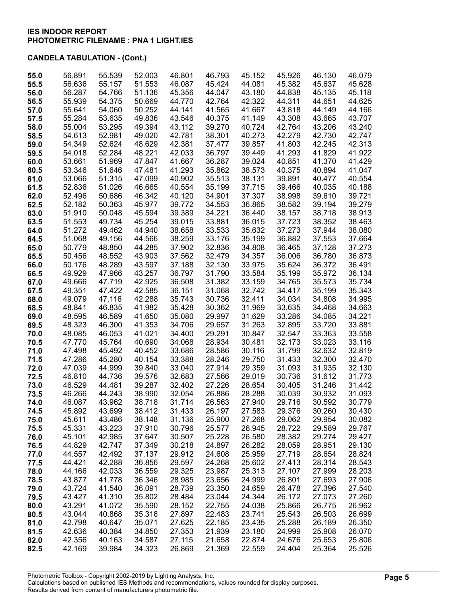| 55.0 | 56.891 | 55.539 | 52.003 | 46.801 | 46.793 | 45.152 | 45.926 | 46.130 | 46.079 |
|------|--------|--------|--------|--------|--------|--------|--------|--------|--------|
| 55.5 | 56.636 | 55.157 | 51.553 | 46.087 | 45.424 | 44.081 | 45.382 | 45.637 | 45.628 |
| 56.0 | 56.287 | 54.766 | 51.136 | 45.356 | 44.047 | 43.180 | 44.838 | 45.135 | 45.118 |
| 56.5 | 55.939 | 54.375 | 50.669 | 44.770 | 42.764 | 42.322 | 44.311 | 44.651 | 44.625 |
| 57.0 | 55.641 | 54.060 | 50.252 | 44.141 | 41.565 | 41.667 | 43.818 | 44.149 | 44.166 |
| 57.5 | 55.284 | 53.635 | 49.836 | 43.546 | 40.375 | 41.149 | 43.308 | 43.665 | 43.707 |
| 58.0 | 55.004 | 53.295 | 49.394 | 43.112 | 39.270 | 40.724 | 42.764 | 43.206 | 43.240 |
| 58.5 | 54.613 | 52.981 | 49.020 | 42.781 | 38.301 | 40.273 | 42.279 | 42.730 | 42.747 |
| 59.0 | 54.349 | 52.624 | 48.629 | 42.381 | 37.477 | 39.857 | 41.803 | 42.245 | 42.313 |
| 59.5 | 54.018 | 52.284 | 48.221 | 42.033 | 36.797 | 39.449 | 41.293 | 41.829 | 41.922 |
| 60.0 | 53.661 | 51.969 | 47.847 | 41.667 | 36.287 | 39.024 | 40.851 | 41.370 | 41.429 |
| 60.5 | 53.346 | 51.646 | 47.481 | 41.293 | 35.862 | 38.573 | 40.375 | 40.894 | 41.047 |
| 61.0 | 53.066 | 51.315 | 47.099 | 40.902 | 35.513 | 38.131 | 39.891 | 40.477 | 40.554 |
| 61.5 | 52.836 | 51.026 | 46.665 | 40.554 | 35.199 | 37.715 | 39.466 | 40.035 | 40.188 |
| 62.0 | 52.496 | 50.686 | 46.342 | 40.120 | 34.901 | 37.307 | 38.998 | 39.610 | 39.721 |
| 62.5 | 52.182 | 50.363 | 45.977 | 39.772 | 34.553 | 36.865 | 38.582 | 39.194 | 39.279 |
| 63.0 | 51.910 | 50.048 | 45.594 | 39.389 | 34.221 | 36.440 | 38.157 | 38.718 | 38.913 |
| 63.5 | 51.553 | 49.734 | 45.254 | 39.015 | 33.881 | 36.015 | 37.723 | 38.352 | 38.463 |
| 64.0 | 51.272 | 49.462 | 44.940 | 38.658 | 33.533 | 35.632 | 37.273 | 37.944 | 38.080 |
| 64.5 | 51.068 | 49.156 | 44.566 | 38.259 | 33.176 | 35.199 | 36.882 | 37.553 | 37.664 |
| 65.0 | 50.779 | 48.850 | 44.285 | 37.902 | 32.836 | 34.808 | 36.465 | 37.128 | 37.273 |
| 65.5 | 50.456 | 48.552 | 43.903 | 37.562 | 32.479 | 34.357 | 36.006 | 36.780 | 36.873 |
| 66.0 | 50.176 | 48.289 | 43.597 | 37.188 | 32.130 | 33.975 | 35.624 | 36.372 | 36.491 |
| 66.5 | 49.929 | 47.966 | 43.257 | 36.797 | 31.790 | 33.584 | 35.199 | 35.972 | 36.134 |
| 67.0 | 49.666 | 47.719 | 42.925 | 36.508 | 31.382 | 33.159 | 34.765 | 35.573 | 35.734 |
| 67.5 | 49.351 | 47.422 | 42.585 | 36.151 | 31.068 | 32.742 | 34.417 | 35.199 | 35.343 |
| 68.0 | 49.079 | 47.116 | 42.288 | 35.743 | 30.736 | 32.411 | 34.034 | 34.808 | 34.995 |
| 68.5 | 48.841 | 46.835 | 41.982 | 35.428 | 30.362 | 31.969 | 33.635 | 34.468 | 34.663 |
| 69.0 | 48.595 | 46.589 | 41.650 | 35.080 | 29.997 | 31.629 | 33.286 | 34.085 | 34.221 |
| 69.5 | 48.323 | 46.300 | 41.353 | 34.706 | 29.657 | 31.263 | 32.895 | 33.720 | 33.881 |
| 70.0 | 48.085 | 46.053 | 41.021 | 34.400 | 29.291 | 30.847 | 32.547 | 33.363 | 33.558 |
| 70.5 | 47.770 | 45.764 | 40.690 | 34.068 | 28.934 | 30.481 | 32.173 | 33.023 | 33.116 |
| 71.0 | 47.498 | 45.492 | 40.452 | 33.686 | 28.586 | 30.116 | 31.799 | 32.632 | 32.819 |
| 71.5 | 47.286 | 45.280 | 40.154 | 33.388 | 28.246 | 29.750 | 31.433 | 32.300 | 32.470 |
| 72.0 | 47.039 | 44.999 | 39.840 | 33.040 | 27.914 | 29.359 | 31.093 | 31.935 | 32.130 |
| 72.5 | 46.810 | 44.736 | 39.576 | 32.683 | 27.566 | 29.019 | 30.736 | 31.612 | 31.773 |
| 73.0 | 46.529 | 44.481 | 39.287 | 32.402 | 27.226 | 28.654 | 30.405 | 31.246 | 31.442 |
| 73.5 | 46.266 | 44.243 | 38.990 | 32.054 | 26.886 | 28.288 | 30.039 | 30.932 | 31.093 |
| 74.0 | 46.087 | 43.962 | 38.718 | 31.714 | 26.563 | 27.940 | 29.716 | 30.592 | 30.779 |
| 74.5 | 45.892 | 43.699 | 38.412 | 31.433 | 26.197 | 27.583 | 29.376 | 30.260 | 30.430 |
| 75.0 | 45.611 | 43.486 | 38.148 | 31.136 | 25.900 | 27.268 | 29.062 | 29.954 | 30.082 |
| 75.5 | 45.331 | 43.223 | 37.910 | 30.796 | 25.577 | 26.945 | 28.722 | 29.589 | 29.767 |
| 76.0 | 45.101 | 42.985 | 37.647 | 30.507 | 25.228 | 26.580 | 28.382 | 29.274 | 29.427 |
| 76.5 | 44.829 | 42.747 | 37.349 | 30.218 | 24.897 | 26.282 | 28.059 | 28.951 | 29.130 |
| 77.0 | 44.557 | 42.492 | 37.137 | 29.912 | 24.608 | 25.959 | 27.719 | 28.654 | 28.824 |
| 77.5 | 44.421 | 42.288 | 36.856 | 29.597 | 24.268 | 25.602 | 27.413 | 28.314 | 28.543 |
| 78.0 | 44.166 | 42.033 | 36.559 | 29.325 | 23.987 | 25.313 | 27.107 | 27.999 | 28.203 |
| 78.5 | 43.877 | 41.778 | 36.346 | 28.985 | 23.656 | 24.999 | 26.801 | 27.693 | 27.906 |
| 79.0 | 43.724 | 41.540 | 36.091 | 28.739 | 23.350 | 24.659 | 26.478 | 27.396 | 27.540 |
| 79.5 | 43.427 | 41.310 | 35.802 | 28.484 | 23.044 | 24.344 | 26.172 | 27.073 | 27.260 |
| 80.0 | 43.291 | 41.072 | 35.590 | 28.152 | 22.755 | 24.038 | 25.866 | 26.775 | 26.962 |
| 80.5 | 43.044 | 40.868 | 35.318 | 27.897 | 22.483 | 23.741 | 25.543 | 26.503 | 26.699 |
| 81.0 | 42.798 | 40.647 | 35.071 | 27.625 | 22.185 | 23.435 | 25.288 | 26.189 | 26.350 |
| 81.5 | 42.636 | 40.384 | 34.850 | 27.353 | 21.939 | 23.180 | 24.999 | 25.908 | 26.070 |
| 82.0 | 42.356 | 40.163 | 34.587 | 27.115 | 21.658 | 22.874 | 24.676 | 25.653 | 25.806 |
| 82.5 | 42.169 | 39.984 | 34.323 | 26.869 | 21.369 | 22.559 | 24.404 | 25.364 | 25.526 |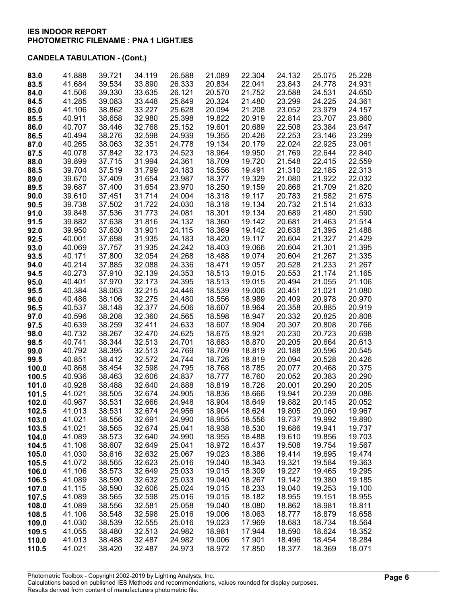# CANDELA TABULATION - (Cont.)

| 83.0  | 41.888 | 39.721 | 34.119 | 26.588 | 21.089 | 22.304 | 24.132 | 25.075 | 25.228 |
|-------|--------|--------|--------|--------|--------|--------|--------|--------|--------|
| 83.5  | 41.684 | 39.534 | 33.890 | 26.333 | 20.834 | 22.041 | 23.843 | 24.778 | 24.931 |
| 84.0  | 41.506 | 39.330 | 33.635 | 26.121 | 20.570 | 21.752 | 23.588 | 24.531 | 24.650 |
| 84.5  | 41.285 | 39.083 | 33.448 | 25.849 | 20.324 | 21.480 | 23.299 | 24.225 | 24.361 |
| 85.0  | 41.106 | 38.862 | 33.227 | 25.628 | 20.094 | 21.208 | 23.052 | 23.979 | 24.157 |
|       |        |        |        |        |        |        |        |        |        |
| 85.5  | 40.911 | 38.658 | 32.980 | 25.398 | 19.822 | 20.919 | 22.814 | 23.707 | 23.860 |
| 86.0  | 40.707 | 38.446 | 32.768 | 25.152 | 19.601 | 20.689 | 22.508 | 23.384 | 23.647 |
| 86.5  | 40.494 | 38.276 | 32.598 | 24.939 | 19.355 | 20.426 | 22.253 | 23.146 | 23.299 |
| 87.0  | 40.265 | 38.063 | 32.351 | 24.778 | 19.134 | 20.179 | 22.024 | 22.925 | 23.061 |
| 87.5  | 40.078 | 37.842 | 32.173 | 24.523 | 18.964 | 19.950 | 21.769 | 22.644 | 22.840 |
| 88.0  | 39.899 | 37.715 | 31.994 | 24.361 | 18.709 | 19.720 | 21.548 | 22.415 | 22.559 |
|       |        |        |        |        |        |        |        |        |        |
| 88.5  | 39.704 | 37.519 | 31.799 | 24.183 | 18.556 | 19.491 | 21.310 | 22.185 | 22.313 |
| 89.0  | 39.670 | 37.409 | 31.654 | 23.987 | 18.377 | 19.329 | 21.080 | 21.922 | 22.032 |
| 89.5  | 39.687 | 37.400 | 31.654 | 23.970 | 18.250 | 19.159 | 20.868 | 21.709 | 21.820 |
| 90.0  | 39.610 | 37.451 | 31.714 | 24.004 | 18.318 | 19.117 | 20.783 | 21.582 | 21.675 |
| 90.5  | 39.738 | 37.502 | 31.722 | 24.030 | 18.318 | 19.134 | 20.732 | 21.514 | 21.633 |
| 91.0  | 39.848 | 37.536 | 31.773 | 24.081 | 18.301 | 19.134 | 20.689 | 21.480 | 21.590 |
|       |        |        |        |        |        |        |        |        |        |
| 91.5  | 39.882 | 37.638 | 31.816 | 24.132 | 18.360 | 19.142 | 20.681 | 21.463 | 21.514 |
| 92.0  | 39.950 | 37.630 | 31.901 | 24.115 | 18.369 | 19.142 | 20.638 | 21.395 | 21.488 |
| 92.5  | 40.001 | 37.698 | 31.935 | 24.183 | 18.420 | 19.117 | 20.604 | 21.327 | 21.429 |
| 93.0  | 40.069 | 37.757 | 31.935 | 24.242 | 18.403 | 19.066 | 20.604 | 21.301 | 21.395 |
| 93.5  | 40.171 | 37.800 | 32.054 | 24.268 | 18.488 | 19.074 | 20.604 | 21.267 | 21.335 |
| 94.0  | 40.214 | 37.885 | 32.088 | 24.336 | 18.471 | 19.057 | 20.528 | 21.233 | 21.267 |
|       |        |        |        |        |        |        |        |        |        |
| 94.5  | 40.273 | 37.910 | 32.139 | 24.353 | 18.513 | 19.015 | 20.553 | 21.174 | 21.165 |
| 95.0  | 40.401 | 37.970 | 32.173 | 24.395 | 18.513 | 19.015 | 20.494 | 21.055 | 21.106 |
| 95.5  | 40.384 | 38.063 | 32.215 | 24.446 | 18.539 | 19.006 | 20.451 | 21.021 | 21.080 |
| 96.0  | 40.486 | 38.106 | 32.275 | 24.480 | 18.556 | 18.989 | 20.409 | 20.978 | 20.970 |
| 96.5  | 40.537 | 38.148 | 32.377 | 24.506 | 18.607 | 18.964 | 20.358 | 20.885 | 20.919 |
| 97.0  | 40.596 | 38.208 | 32.360 | 24.565 | 18.598 | 18.947 | 20.332 | 20.825 | 20.808 |
|       |        |        |        |        |        |        |        |        |        |
| 97.5  | 40.639 | 38.259 | 32.411 | 24.633 | 18.607 | 18.904 | 20.307 | 20.808 | 20.766 |
| 98.0  | 40.732 | 38.267 | 32.470 | 24.625 | 18.675 | 18.921 | 20.230 | 20.723 | 20.698 |
| 98.5  | 40.741 | 38.344 | 32.513 | 24.701 | 18.683 | 18.870 | 20.205 | 20.664 | 20.613 |
| 99.0  | 40.792 | 38.395 | 32.513 | 24.769 | 18.709 | 18.819 | 20.188 | 20.596 | 20.545 |
| 99.5  | 40.851 | 38.412 | 32.572 | 24.744 | 18.726 | 18.819 | 20.094 | 20.528 | 20.426 |
| 100.0 | 40.868 | 38.454 | 32.598 | 24.795 | 18.768 | 18.785 | 20.077 | 20.468 | 20.375 |
| 100.5 | 40.936 | 38.463 | 32.606 | 24.837 | 18.777 | 18.760 | 20.052 | 20.383 | 20.290 |
|       |        |        |        |        |        |        |        |        |        |
| 101.0 | 40.928 | 38.488 | 32.640 | 24.888 | 18.819 | 18.726 | 20.001 | 20.290 | 20.205 |
| 101.5 | 41.021 | 38.505 | 32.674 | 24.905 | 18.836 | 18.666 | 19.941 | 20.239 | 20.086 |
| 102.0 | 40.987 | 38.531 | 32.666 | 24.948 | 18.904 | 18.649 | 19.882 | 20.145 | 20.052 |
| 102.5 | 41.013 | 38.531 | 32.674 | 24.956 | 18.904 | 18.624 | 19.805 | 20.060 | 19.967 |
| 103.0 | 41.021 | 38.556 | 32.691 | 24.990 | 18.955 | 18.556 | 19.737 | 19.992 | 19.890 |
| 103.5 | 41.021 | 38.565 | 32.674 | 25.041 | 18.938 | 18.530 | 19.686 | 19.941 | 19.737 |
| 104.0 | 41.089 | 38.573 | 32.640 | 24.990 | 18.955 | 18.488 | 19.610 | 19.856 | 19.703 |
|       |        |        |        |        |        |        |        |        |        |
| 104.5 | 41.106 | 38.607 | 32.649 | 25.041 | 18.972 | 18.437 | 19.508 | 19.754 | 19.567 |
| 105.0 | 41.030 | 38.616 | 32.632 | 25.067 | 19.023 | 18.386 | 19.414 | 19.695 | 19.474 |
| 105.5 | 41.072 | 38.565 | 32.623 | 25.016 | 19.040 | 18.343 | 19.321 | 19.584 | 19.363 |
| 106.0 | 41.106 | 38.573 | 32.649 | 25.033 | 19.015 | 18.309 | 19.227 | 19.465 | 19.295 |
| 106.5 | 41.089 | 38.590 | 32.632 | 25.033 | 19.040 | 18.267 | 19.142 | 19.380 | 19.185 |
| 107.0 | 41.115 | 38.590 | 32.606 | 25.024 | 19.015 | 18.233 | 19.040 | 19.253 | 19.100 |
| 107.5 | 41.089 | 38.565 | 32.598 | 25.016 | 19.015 | 18.182 | 18.955 | 19.151 | 18.955 |
|       |        |        |        |        |        |        |        |        |        |
| 108.0 | 41.089 | 38.556 | 32.581 | 25.058 | 19.040 | 18.080 | 18.862 | 18.981 | 18.811 |
| 108.5 | 41.106 | 38.548 | 32.598 | 25.016 | 19.006 | 18.063 | 18.777 | 18.879 | 18.658 |
| 109.0 | 41.030 | 38.539 | 32.555 | 25.016 | 19.023 | 17.969 | 18.683 | 18.734 | 18.564 |
| 109.5 | 41.055 | 38.480 | 32.513 | 24.982 | 18.981 | 17.944 | 18.590 | 18.624 | 18.352 |
| 110.0 | 41.013 | 38.488 | 32.487 | 24.982 | 19.006 | 17.901 | 18.496 | 18.454 | 18.284 |
| 110.5 | 41.021 | 38.420 | 32.487 | 24.973 | 18.972 | 17.850 | 18.377 | 18.369 | 18.071 |
|       |        |        |        |        |        |        |        |        |        |

Photometric Toolbox - Copyright 2002-2019 by Lighting Analysts, Inc. Calculations based on published IES Methods and recommendations, values rounded for display purposes. Results derived from content of manufacturers photometric file.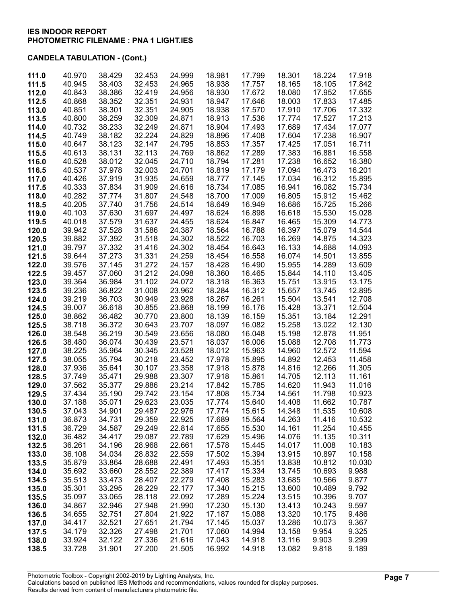| 111.0 | 40.970 | 38.429 | 32.453 | 24.999 | 18.981 | 17.799 | 18.301 | 18.224 | 17.918 |
|-------|--------|--------|--------|--------|--------|--------|--------|--------|--------|
| 111.5 | 40.945 | 38.403 | 32.453 | 24.965 | 18.938 | 17.757 | 18.165 | 18.105 | 17.842 |
| 112.0 | 40.843 | 38.386 | 32.419 | 24.956 | 18.930 | 17.672 | 18.080 | 17.952 | 17.655 |
|       |        |        | 32.351 |        |        |        |        |        |        |
| 112.5 | 40.868 | 38.352 |        | 24.931 | 18.947 | 17.646 | 18.003 | 17.833 | 17.485 |
| 113.0 | 40.851 | 38.301 | 32.351 | 24.905 | 18.938 | 17.570 | 17.910 | 17.706 | 17.332 |
| 113.5 | 40.800 | 38.259 | 32.309 | 24.871 | 18.913 | 17.536 | 17.774 | 17.527 | 17.213 |
| 114.0 | 40.732 | 38.233 | 32.249 | 24.871 | 18.904 | 17.493 | 17.689 | 17.434 | 17.077 |
| 114.5 | 40.749 | 38.182 | 32.224 | 24.829 | 18.896 | 17.408 | 17.604 | 17.238 | 16.907 |
|       |        |        |        |        |        |        |        |        |        |
| 115.0 | 40.647 | 38.123 | 32.147 | 24.795 | 18.853 | 17.357 | 17.425 | 17.051 | 16.711 |
| 115.5 | 40.613 | 38.131 | 32.113 | 24.769 | 18.862 | 17.289 | 17.383 | 16.881 | 16.558 |
| 116.0 | 40.528 | 38.012 | 32.045 | 24.710 | 18.794 | 17.281 | 17.238 | 16.652 | 16.380 |
| 116.5 | 40.537 | 37.978 | 32.003 | 24.701 | 18.819 | 17.179 | 17.094 | 16.473 | 16.201 |
| 117.0 | 40.426 | 37.919 | 31.935 | 24.659 | 18.777 | 17.145 | 17.034 | 16.312 | 15.895 |
|       |        |        |        |        |        |        |        |        |        |
| 117.5 | 40.333 | 37.834 | 31.909 | 24.616 | 18.734 | 17.085 | 16.941 | 16.082 | 15.734 |
| 118.0 | 40.282 | 37.774 | 31.807 | 24.548 | 18.700 | 17.009 | 16.805 | 15.912 | 15.462 |
| 118.5 | 40.205 | 37.740 | 31.756 | 24.514 | 18.649 | 16.949 | 16.686 | 15.725 | 15.266 |
| 119.0 | 40.103 | 37.630 | 31.697 | 24.497 | 18.624 | 16.898 | 16.618 | 15.530 | 15.028 |
| 119.5 | 40.018 | 37.579 | 31.637 | 24.455 | 18.624 | 16.847 | 16.465 | 15.309 | 14.773 |
|       |        |        |        |        |        |        |        |        |        |
| 120.0 | 39.942 | 37.528 | 31.586 | 24.387 | 18.564 | 16.788 | 16.397 | 15.079 | 14.544 |
| 120.5 | 39.882 | 37.392 | 31.518 | 24.302 | 18.522 | 16.703 | 16.269 | 14.875 | 14.323 |
| 121.0 | 39.797 | 37.332 | 31.416 | 24.302 | 18.454 | 16.643 | 16.133 | 14.688 | 14.093 |
| 121.5 | 39.644 | 37.273 | 31.331 | 24.259 | 18.454 | 16.558 | 16.074 | 14.501 | 13.855 |
| 122.0 | 39.576 | 37.145 | 31.272 | 24.157 | 18.428 | 16.490 | 15.955 | 14.289 | 13.609 |
| 122.5 | 39.457 | 37.060 | 31.212 | 24.098 | 18.360 | 16.465 | 15.844 | 14.110 | 13.405 |
|       |        |        |        |        |        |        |        |        |        |
| 123.0 | 39.364 | 36.984 | 31.102 | 24.072 | 18.318 | 16.363 | 15.751 | 13.915 | 13.175 |
| 123.5 | 39.236 | 36.822 | 31.008 | 23.962 | 18.284 | 16.312 | 15.657 | 13.745 | 12.895 |
| 124.0 | 39.219 | 36.703 | 30.949 | 23.928 | 18.267 | 16.261 | 15.504 | 13.541 | 12.708 |
| 124.5 | 39.007 | 36.618 | 30.855 | 23.868 | 18.199 | 16.176 | 15.428 | 13.371 | 12.504 |
| 125.0 | 38.862 | 36.482 | 30.770 | 23.800 | 18.139 | 16.159 | 15.351 | 13.184 | 12.291 |
| 125.5 | 38.718 | 36.372 | 30.643 | 23.707 | 18.097 | 16.082 | 15.258 | 13.022 | 12.130 |
|       |        |        |        |        |        |        |        |        |        |
| 126.0 | 38.548 | 36.219 | 30.549 | 23.656 | 18.080 | 16.048 | 15.198 | 12.878 | 11.951 |
| 126.5 | 38.480 | 36.074 | 30.439 | 23.571 | 18.037 | 16.006 | 15.088 | 12.708 | 11.773 |
| 127.0 | 38.225 | 35.964 | 30.345 | 23.528 | 18.012 | 15.963 | 14.960 | 12.572 | 11.594 |
| 127.5 | 38.055 | 35.794 | 30.218 | 23.452 | 17.978 | 15.895 | 14.892 | 12.453 | 11.458 |
| 128.0 | 37.936 | 35.641 | 30.107 | 23.358 | 17.918 | 15.878 | 14.816 | 12.266 | 11.305 |
| 128.5 | 37.749 | 35.471 | 29.988 | 23.307 | 17.918 | 15.861 | 14.705 | 12.113 | 11.161 |
|       | 37.562 | 35.377 | 29.886 | 23.214 | 17.842 | 15.785 | 14.620 | 11.943 | 11.016 |
| 129.0 |        |        |        |        |        |        |        |        |        |
| 129.5 | 37.434 | 35.190 | 29.742 | 23.154 | 17.808 | 15.734 | 14.561 | 11.798 | 10.923 |
| 130.0 | 37.188 | 35.071 | 29.623 | 23.035 | 17.774 | 15.640 | 14.408 | 11.662 | 10.787 |
| 130.5 | 37.043 | 34.901 | 29.487 | 22.976 | 17.774 | 15.615 | 14.348 | 11.535 | 10.608 |
| 131.0 | 36.873 | 34.731 | 29.359 | 22.925 | 17.689 | 15.564 | 14.263 | 11.416 | 10.532 |
| 131.5 | 36.729 | 34.587 | 29.249 | 22.814 | 17.655 | 15.530 | 14.161 | 11.254 | 10.455 |
| 132.0 | 36.482 | 34.417 | 29.087 | 22.789 | 17.629 | 15.496 | 14.076 | 11.135 | 10.311 |
|       |        |        |        |        |        |        |        |        |        |
| 132.5 | 36.261 | 34.196 | 28.968 | 22.661 | 17.578 | 15.445 | 14.017 | 11.008 | 10.183 |
| 133.0 | 36.108 | 34.034 | 28.832 | 22.559 | 17.502 | 15.394 | 13.915 | 10.897 | 10.158 |
| 133.5 | 35.879 | 33.864 | 28.688 | 22.491 | 17.493 | 15.351 | 13.838 | 10.812 | 10.030 |
| 134.0 | 35.692 | 33.660 | 28.552 | 22.389 | 17.417 | 15.334 | 13.745 | 10.693 | 9.988  |
| 134.5 | 35.513 | 33.473 | 28.407 | 22.279 | 17.408 | 15.283 | 13.685 | 10.566 | 9.877  |
| 135.0 | 35.301 | 33.295 | 28.229 | 22.177 | 17.340 | 15.215 | 13.600 | 10.489 | 9.792  |
|       |        |        |        |        |        |        |        |        |        |
| 135.5 | 35.097 | 33.065 | 28.118 | 22.092 | 17.289 | 15.224 | 13.515 | 10.396 | 9.707  |
| 136.0 | 34.867 | 32.946 | 27.948 | 21.990 | 17.230 | 15.130 | 13.413 | 10.243 | 9.597  |
| 136.5 | 34.655 | 32.751 | 27.804 | 21.922 | 17.187 | 15.088 | 13.320 | 10.175 | 9.486  |
| 137.0 | 34.417 | 32.521 | 27.651 | 21.794 | 17.145 | 15.037 | 13.286 | 10.073 | 9.367  |
| 137.5 | 34.179 | 32.326 | 27.498 | 21.701 | 17.060 | 14.994 | 13.158 | 9.954  | 9.325  |
| 138.0 | 33.924 | 32.122 | 27.336 | 21.616 | 17.043 | 14.918 | 13.116 | 9.903  | 9.299  |
| 138.5 | 33.728 | 31.901 | 27.200 | 21.505 | 16.992 | 14.918 | 13.082 | 9.818  | 9.189  |
|       |        |        |        |        |        |        |        |        |        |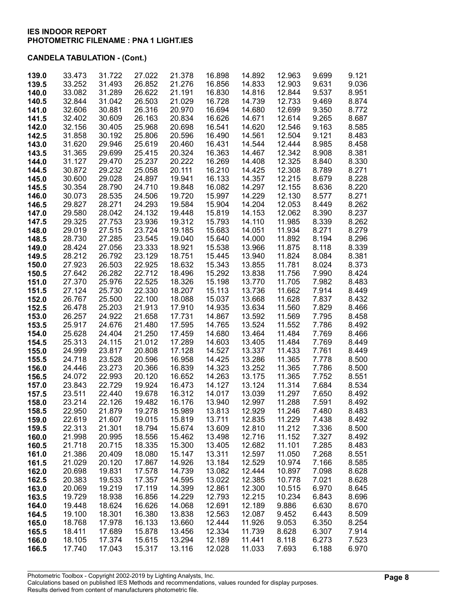| 139.0          | 33.473           | 31.722           | 27.022           | 21.378           | 16.898           | 14.892           | 12.963           | 9.699          | 9.121          |
|----------------|------------------|------------------|------------------|------------------|------------------|------------------|------------------|----------------|----------------|
| 139.5          | 33.252           | 31.493           | 26.852           | 21.276           | 16.856           | 14.833           | 12.903           | 9.631          | 9.036          |
| 140.0          | 33.082           | 31.289           | 26.622           | 21.191           | 16.830           | 14.816           | 12.844           | 9.537          | 8.951          |
| 140.5          | 32.844           | 31.042           | 26.503           | 21.029           | 16.728           | 14.739           | 12.733           | 9.469          | 8.874          |
| 141.0          | 32.606           | 30.881           | 26.316           | 20.970           | 16.694           | 14.680           | 12.699           | 9.350          | 8.772          |
| 141.5          | 32.402           | 30.609           | 26.163           | 20.834           | 16.626           | 14.671           | 12.614           | 9.265          | 8.687          |
| 142.0          | 32.156           | 30.405           | 25.968           | 20.698           | 16.541           | 14.620           | 12.546           | 9.163          | 8.585          |
| 142.5          | 31.858           | 30.192           | 25.806           | 20.596           | 16.490           | 14.561           | 12.504           | 9.121          | 8.483          |
| 143.0          | 31.620           | 29.946           | 25.619           | 20.460           | 16.431           | 14.544           | 12.444           | 8.985          | 8.458          |
| 143.5          | 31.365           | 29.699           | 25.415           | 20.324           | 16.363           | 14.467           | 12.342           | 8.908          | 8.381          |
| 144.0          | 31.127           | 29.470           | 25.237           | 20.222           | 16.269           | 14.408           | 12.325           | 8.840          | 8.330          |
| 144.5          | 30.872           | 29.232           | 25.058           | 20.111           | 16.210           | 14.425           | 12.308           | 8.789          | 8.271          |
| 145.0          | 30.600           | 29.028           | 24.897           | 19.941           | 16.133           | 14.357           | 12.215           | 8.679          | 8.228          |
| 145.5          | 30.354           | 28.790           | 24.710           | 19.848           | 16.082           | 14.297           | 12.155           | 8.636          | 8.220          |
| 146.0          | 30.073           | 28.535           | 24.506           | 19.720           | 15.997           | 14.229           | 12.130           | 8.577          | 8.271          |
| 146.5          | 29.827           | 28.271           | 24.293           | 19.584           | 15.904           | 14.204           | 12.053           | 8.449          | 8.262          |
| 147.0          | 29.580           | 28.042           | 24.132           | 19.448           | 15.819           | 14.153           | 12.062           | 8.390          | 8.237          |
| 147.5          | 29.325           | 27.753           | 23.936           | 19.312           | 15.793           | 14.110           | 11.985           | 8.339          | 8.262          |
| 148.0          | 29.019           | 27.515           | 23.724           | 19.185           | 15.683           | 14.051           | 11.934           | 8.271          | 8.279          |
| 148.5          | 28.730           | 27.285           | 23.545           | 19.040           | 15.640           | 14.000           | 11.892           | 8.194          | 8.296          |
| 149.0          | 28.424           | 27.056           | 23.333           | 18.921           | 15.538           | 13.966           | 11.875           | 8.118          | 8.339          |
| 149.5          | 28.212           | 26.792           | 23.129           | 18.751           | 15.445           | 13.940           | 11.824           | 8.084          | 8.381          |
| 150.0          | 27.923           | 26.503           | 22.925           | 18.632           | 15.343           | 13.855           | 11.781           | 8.024          | 8.373          |
| 150.5          | 27.642           | 26.282           | 22.712           | 18.496           | 15.292           | 13.838           | 11.756           | 7.990          | 8.424          |
| 151.0          | 27.370           | 25.976           | 22.525           | 18.326           | 15.198           | 13.770           | 11.705           | 7.982          | 8.483          |
| 151.5          | 27.124           | 25.730           | 22.330           | 18.207           | 15.113           | 13.736           | 11.662           | 7.914          | 8.449          |
| 152.0          | 26.767           | 25.500           | 22.100           | 18.088           | 15.037           | 13.668           | 11.628           | 7.837          | 8.432          |
| 152.5          | 26.478           | 25.203           | 21.913           | 17.910           | 14.935           | 13.634           | 11.560           | 7.829          | 8.466          |
| 153.0          | 26.257           | 24.922           | 21.658           | 17.731           | 14.867           | 13.592           | 11.569           | 7.795          | 8.458          |
| 153.5          | 25.917           | 24.676           | 21.480           | 17.595           | 14.765           | 13.524           | 11.552           | 7.786          | 8.492          |
| 154.0          | 25.628           | 24.404           | 21.250           | 17.459           | 14.680           | 13.464           | 11.484           | 7.769          | 8.466          |
| 154.5          | 25.313           | 24.115           | 21.012           | 17.289           | 14.603           | 13.405           | 11.484           | 7.769          | 8.449          |
| 155.0          | 24.999           | 23.817           | 20.808           | 17.128           | 14.527           | 13.337           | 11.433           | 7.761          | 8.449          |
| 155.5          | 24.718           | 23.528           | 20.596           | 16.958           | 14.425           | 13.286           | 11.365           | 7.778          | 8.500          |
| 156.0          | 24.446           | 23.273           | 20.366           | 16.839           | 14.323           | 13.252           | 11.365           | 7.786          | 8.500          |
| 156.5          | 24.072<br>23.843 | 22.993<br>22.729 | 20.120<br>19.924 | 16.652           | 14.263<br>14.127 | 13.175           | 11.365<br>11.314 | 7.752<br>7.684 | 8.551<br>8.534 |
| 157.0<br>157.5 | 23.511           | 22.440           | 19.678           | 16.473<br>16.312 | 14.017           | 13.124<br>13.039 | 11.297           | 7.650          | 8.492          |
| 158.0          | 23.214           | 22.126           | 19.482           | 16.176           | 13.940           | 12.997           | 11.288           | 7.591          | 8.492          |
| 158.5          | 22.950           | 21.879           | 19.278           | 15.989           | 13.813           | 12.929           | 11.246           | 7.480          | 8.483          |
| 159.0          | 22.619           | 21.607           | 19.015           | 15.819           | 13.711           | 12.835           | 11.229           | 7.438          | 8.492          |
| 159.5          | 22.313           | 21.301           | 18.794           | 15.674           | 13.609           | 12.810           | 11.212           | 7.336          | 8.500          |
| 160.0          | 21.998           | 20.995           | 18.556           | 15.462           | 13.498           | 12.716           | 11.152           | 7.327          | 8.492          |
| 160.5          | 21.718           | 20.715           | 18.335           | 15.300           | 13.405           | 12.682           | 11.101           | 7.285          | 8.483          |
| 161.0          | 21.386           | 20.409           | 18.080           | 15.147           | 13.311           | 12.597           | 11.050           | 7.268          | 8.551          |
| 161.5          | 21.029           | 20.120           | 17.867           | 14.926           | 13.184           | 12.529           | 10.974           | 7.166          | 8.585          |
| 162.0          | 20.698           | 19.831           | 17.578           | 14.739           | 13.082           | 12.444           | 10.897           | 7.098          | 8.628          |
| 162.5          | 20.383           | 19.533           | 17.357           | 14.595           | 13.022           | 12.385           | 10.778           | 7.021          | 8.628          |
| 163.0          | 20.069           | 19.219           | 17.119           | 14.399           | 12.861           | 12.300           | 10.515           | 6.970          | 8.645          |
| 163.5          | 19.729           | 18.938           | 16.856           | 14.229           | 12.793           | 12.215           | 10.234           | 6.843          | 8.696          |
| 164.0          | 19.448           | 18.624           | 16.626           | 14.068           | 12.691           | 12.189           | 9.886            | 6.630          | 8.670          |
| 164.5          | 19.100           | 18.301           | 16.380           | 13.838           | 12.563           | 12.087           | 9.452            | 6.443          | 8.509          |
| 165.0          | 18.768           | 17.978           | 16.133           | 13.660           | 12.444           | 11.926           | 9.053            | 6.350          | 8.254          |
| 165.5          | 18.411           | 17.689           | 15.878           | 13.456           | 12.334           | 11.739           | 8.628            | 6.307          | 7.914          |
| 166.0          | 18.105           | 17.374           | 15.615           | 13.294           | 12.189           | 11.441           | 8.118            | 6.273          | 7.523          |
| 166.5          | 17.740           | 17.043           | 15.317           | 13.116           | 12.028           | 11.033           | 7.693            | 6.188          | 6.970          |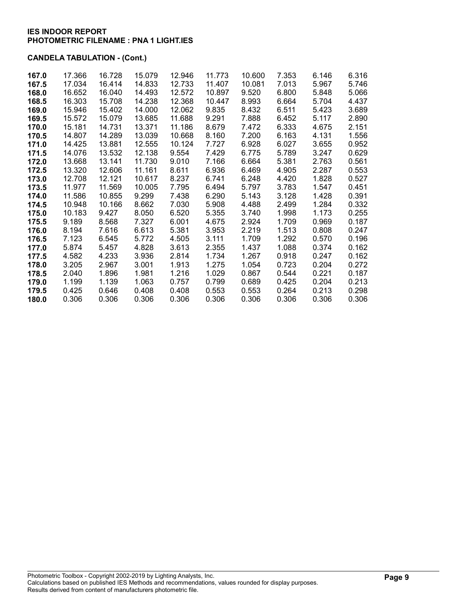| 167.0 | 17.366 | 16.728 | 15.079 | 12.946 | 11.773 | 10.600 | 7.353 | 6.146 | 6.316 |
|-------|--------|--------|--------|--------|--------|--------|-------|-------|-------|
| 167.5 | 17.034 | 16.414 | 14.833 | 12.733 | 11.407 | 10.081 | 7.013 | 5.967 | 5.746 |
| 168.0 | 16.652 | 16.040 | 14.493 | 12.572 | 10.897 | 9.520  | 6.800 | 5.848 | 5.066 |
| 168.5 | 16.303 | 15.708 | 14.238 | 12.368 | 10.447 | 8.993  | 6.664 | 5.704 | 4.437 |
| 169.0 | 15.946 | 15.402 | 14.000 | 12.062 | 9.835  | 8.432  | 6.511 | 5.423 | 3.689 |
| 169.5 | 15.572 | 15.079 | 13.685 | 11.688 | 9.291  | 7.888  | 6.452 | 5.117 | 2.890 |
| 170.0 | 15.181 | 14.731 | 13.371 | 11.186 | 8.679  | 7.472  | 6.333 | 4.675 | 2.151 |
| 170.5 | 14.807 | 14.289 | 13.039 | 10.668 | 8.160  | 7.200  | 6.163 | 4.131 | 1.556 |
| 171.0 | 14.425 | 13.881 | 12.555 | 10.124 | 7.727  | 6.928  | 6.027 | 3.655 | 0.952 |
| 171.5 | 14.076 | 13.532 | 12.138 | 9.554  | 7.429  | 6.775  | 5.789 | 3.247 | 0.629 |
| 172.0 | 13.668 | 13.141 | 11.730 | 9.010  | 7.166  | 6.664  | 5.381 | 2.763 | 0.561 |
| 172.5 | 13.320 | 12.606 | 11.161 | 8.611  | 6.936  | 6.469  | 4.905 | 2.287 | 0.553 |
| 173.0 | 12.708 | 12.121 | 10.617 | 8.237  | 6.741  | 6.248  | 4.420 | 1.828 | 0.527 |
| 173.5 | 11.977 | 11.569 | 10.005 | 7.795  | 6.494  | 5.797  | 3.783 | 1.547 | 0.451 |
| 174.0 | 11.586 | 10.855 | 9.299  | 7.438  | 6.290  | 5.143  | 3.128 | 1.428 | 0.391 |
| 174.5 | 10.948 | 10.166 | 8.662  | 7.030  | 5.908  | 4.488  | 2.499 | 1.284 | 0.332 |
| 175.0 | 10.183 | 9.427  | 8.050  | 6.520  | 5.355  | 3.740  | 1.998 | 1.173 | 0.255 |
| 175.5 | 9.189  | 8.568  | 7.327  | 6.001  | 4.675  | 2.924  | 1.709 | 0.969 | 0.187 |
| 176.0 | 8.194  | 7.616  | 6.613  | 5.381  | 3.953  | 2.219  | 1.513 | 0.808 | 0.247 |
| 176.5 | 7.123  | 6.545  | 5.772  | 4.505  | 3.111  | 1.709  | 1.292 | 0.570 | 0.196 |
| 177.0 | 5.874  | 5.457  | 4.828  | 3.613  | 2.355  | 1.437  | 1.088 | 0.374 | 0.162 |
| 177.5 | 4.582  | 4.233  | 3.936  | 2.814  | 1.734  | 1.267  | 0.918 | 0.247 | 0.162 |
| 178.0 | 3.205  | 2.967  | 3.001  | 1.913  | 1.275  | 1.054  | 0.723 | 0.204 | 0.272 |
| 178.5 | 2.040  | 1.896  | 1.981  | 1.216  | 1.029  | 0.867  | 0.544 | 0.221 | 0.187 |
| 179.0 | 1.199  | 1.139  | 1.063  | 0.757  | 0.799  | 0.689  | 0.425 | 0.204 | 0.213 |
| 179.5 | 0.425  | 0.646  | 0.408  | 0.408  | 0.553  | 0.553  | 0.264 | 0.213 | 0.298 |
| 180.0 | 0.306  | 0.306  | 0.306  | 0.306  | 0.306  | 0.306  | 0.306 | 0.306 | 0.306 |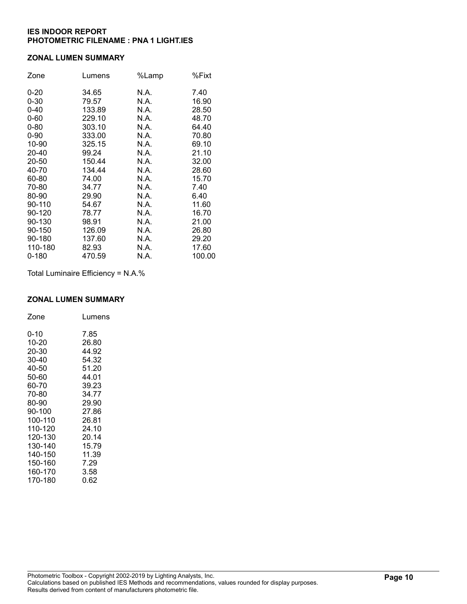#### ZONAL LUMEN SUMMARY

| Zone      | Lumens | %Lamp | %Fixt  |
|-----------|--------|-------|--------|
| $0 - 20$  | 34.65  | N.A.  | 7.40   |
| $0 - 30$  | 79.57  | N.A.  | 16.90  |
| $0 - 40$  | 133.89 | N.A.  | 28.50  |
| $0 - 60$  | 229.10 | N.A.  | 48.70  |
| $0 - 80$  | 303.10 | N.A.  | 64.40  |
| $0 - 90$  | 333.00 | N.A.  | 70.80  |
| 10-90     | 325.15 | N.A.  | 69.10  |
| 20-40     | 99.24  | N.A.  | 21.10  |
| 20-50     | 150.44 | N.A.  | 32.00  |
| 40-70     | 134.44 | N.A.  | 28.60  |
| 60-80     | 74.00  | N.A.  | 15.70  |
| 70-80     | 34.77  | N.A.  | 7.40   |
| 80-90     | 29.90  | N.A.  | 6.40   |
| 90-110    | 54.67  | N.A.  | 11.60  |
| 90-120    | 78.77  | N.A.  | 16.70  |
| 90-130    | 98.91  | N.A.  | 21.00  |
| 90-150    | 126.09 | N.A.  | 26.80  |
| 90-180    | 137.60 | N.A.  | 29.20  |
| 110-180   | 82.93  | N.A.  | 17.60  |
| $0 - 180$ | 470.59 | N.A.  | 100.00 |

Total Luminaire Efficiency = N.A.%

### ZONAL LUMEN SUMMARY

| Zone    | Lumens |
|---------|--------|
| 0-10    | 7.85   |
| 10-20   | 26.80  |
| 20-30   | 44.92  |
| 30-40   | 54.32  |
| 40-50   | 51.20  |
| 50-60   | 44.01  |
| 60-70   | 39.23  |
| 70-80   | 34.77  |
| 80-90   | 29.90  |
| 90-100  | 27.86  |
| 100-110 | 26.81  |
| 110-120 | 24.10  |
| 120-130 | 20.14  |
| 130-140 | 15.79  |
| 140-150 | 11.39  |
| 150-160 | 7.29   |
| 160-170 | 3.58   |
| 170-180 | 0.62   |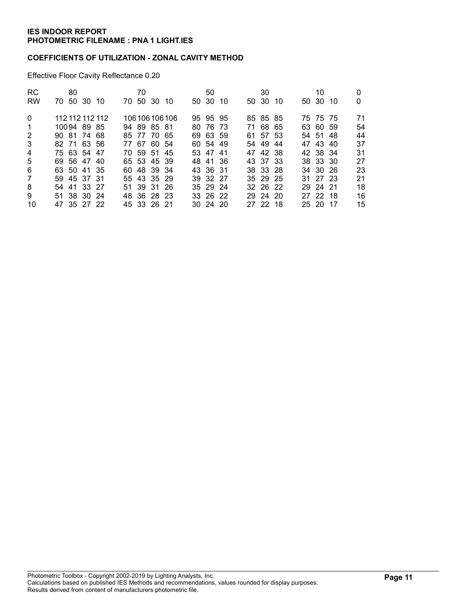#### COEFFICIENTS OF UTILIZATION - ZONAL CAVITY METHOD

Effective Floor Cavity Reflectance 0.20

| <b>RC</b>      | 80 |             |                 | 70       |             |                 | 50           |     | 30       |     | 10       |     |    |
|----------------|----|-------------|-----------------|----------|-------------|-----------------|--------------|-----|----------|-----|----------|-----|----|
| <b>RW</b>      |    | 70 50 30 10 |                 | 70 50 30 |             | - 10            | 50 30        | -10 | 50 30    | -10 | 50 30    | -10 | 0  |
| $\Omega$       |    |             | 112 112 112 112 |          |             | 106 106 106 106 | 95 95 95     |     | 85 85 85 |     | 75 75 75 |     | 71 |
| 1              |    | 10094 89 85 |                 |          | 94 89 85 81 |                 | 80 76 73     |     | 71 68 65 |     | 63 60 59 |     | 54 |
| 2              |    | 90 81 74 68 |                 |          | 85 77 70 65 |                 | 69 63 59     |     | 61 57 53 |     | 54 51 48 |     | 44 |
| 3              |    | 82 71 63 56 |                 |          | 77 67 60 54 |                 | 60 54 49     |     | 54 49    | -44 | 47 43 40 |     | 37 |
| $\overline{4}$ |    | 75 63 54 47 |                 |          | 70 59 51 45 |                 | 53 47 41     |     | 47 42 38 |     | 42 38 34 |     | 31 |
| 5              |    | 69 56 47 40 |                 |          | 65 53 45 39 |                 | 48 41 36     |     | 43 37 33 |     | 38 33 30 |     | 27 |
| 6              |    | 63 50 41 35 |                 |          | 60 48 39 34 |                 | 43 36 31     |     | 38 33 28 |     | 34 30 26 |     | 23 |
| 7              |    | 59 45 37 31 |                 |          | 55 43 35 29 |                 | 39 32 27     |     | 35 29 25 |     | 31 27 23 |     | 21 |
| 8              |    | 54 41 33 27 |                 |          | 51 39 31 26 |                 | 35 29 24     |     | 32 26 22 |     | 29 24 21 |     | 18 |
| 9              |    | 51 38 30 24 |                 |          | 48 36 28 23 |                 | 33 26 22     |     | 29 24 20 |     | 27 22 18 |     | 16 |
| 10             |    | 47 35 27 22 |                 |          | 45 33 26 21 |                 | $30\,24\,20$ |     | 27 22 18 |     | 25 20 17 |     | 15 |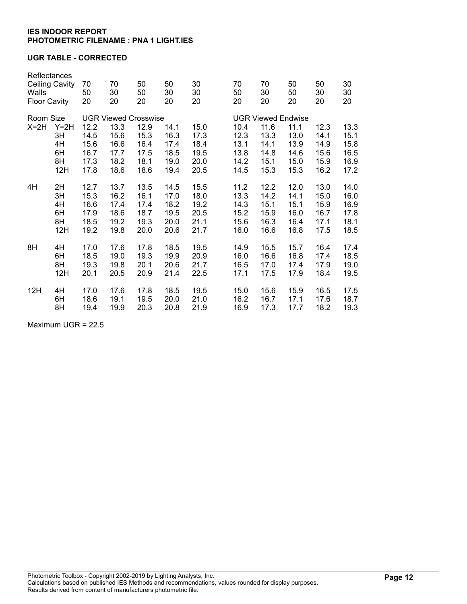### UGR TABLE - CORRECTED

| Reflectances<br><b>Ceiling Cavity</b><br>Walls<br><b>Floor Cavity</b> |              | 70<br>50<br>20              | 70<br>30<br>20 | 50<br>50<br>20 | 50<br>30<br>20 | 30<br>30<br>20 |  | 70<br>50<br>20            | 70<br>30<br>20 | 50<br>50<br>20 | 50<br>30<br>20 | 30<br>30<br>20 |
|-----------------------------------------------------------------------|--------------|-----------------------------|----------------|----------------|----------------|----------------|--|---------------------------|----------------|----------------|----------------|----------------|
| Room Size                                                             |              | <b>UGR Viewed Crosswise</b> |                |                |                |                |  | <b>UGR Viewed Endwise</b> |                |                |                |                |
| $X=2H$                                                                | $Y=2H$<br>3H | 12.2<br>14.5                | 13.3<br>15.6   | 12.9<br>15.3   | 14.1<br>16.3   | 15.0<br>17.3   |  | 10.4<br>12.3              | 11.6<br>13.3   | 11.1<br>13.0   | 12.3<br>14.1   | 13.3<br>15.1   |
|                                                                       | 4H           | 15.6                        | 16.6           | 16.4           | 17.4           | 18.4           |  | 13.1                      | 14.1           | 13.9           | 14.9           | 15.8           |
|                                                                       | 6H           | 16.7                        | 17.7           | 17.5           | 18.5           | 19.5           |  | 13.8                      | 14.8           | 14.6           | 15.6           | 16.5           |
|                                                                       | 8H           | 17.3                        | 18.2           | 18.1           | 19.0           | 20.0           |  | 14.2                      | 15.1           | 15.0           | 15.9           | 16.9           |
|                                                                       | 12H          | 17.8                        | 18.6           | 18.6           | 19.4           | 20.5           |  | 14.5                      | 15.3           | 15.3           | 16.2           | 17.2           |
|                                                                       |              |                             |                |                |                |                |  |                           |                |                |                |                |
| 4H                                                                    | 2H           | 12.7                        | 13.7           | 13.5           | 14.5           | 15.5           |  | 11.2                      | 12.2           | 12.0           | 13.0           | 14.0           |
|                                                                       | 3H           | 15.3                        | 16.2           | 16.1           | 17.0           | 18.0           |  | 13.3                      | 14.2           | 14.1           | 15.0           | 16.0           |
|                                                                       | 4H           | 16.6                        | 17.4           | 17.4           | 18.2           | 19.2           |  | 14.3                      | 15.1           | 15.1           | 15.9           | 16.9           |
|                                                                       | 6H           | 17.9                        | 18.6           | 18.7           | 19.5           | 20.5           |  | 15.2                      | 15.9           | 16.0           | 16.7           | 17.8           |
|                                                                       | 8H           | 18.5                        | 19.2           | 19.3           | 20.0           | 21.1           |  | 15.6                      | 16.3           | 16.4           | 17.1           | 18.1           |
|                                                                       | 12H          | 19.2                        | 19.8           | 20.0           | 20.6           | 21.7           |  | 16.0                      | 16.6           | 16.8           | 17.5           | 18.5           |
|                                                                       |              |                             |                |                |                |                |  |                           |                |                |                |                |
| 8H                                                                    | 4H           | 17.0                        | 17.6           | 17.8           | 18.5           | 19.5           |  | 14.9                      | 15.5           | 15.7           | 16.4           | 17.4           |
|                                                                       | 6H           | 18.5                        | 19.0           | 19.3           | 19.9           | 20.9           |  | 16.0                      | 16.6           | 16.8           | 17.4           | 18.5           |
|                                                                       | 8H           | 19.3                        | 19.8           | 20.1           | 20.6           | 21.7           |  | 16.5                      | 17.0           | 17.4           | 17.9           | 19.0           |
|                                                                       | 12H          | 20.1                        | 20.5           | 20.9           | 21.4           | 22.5           |  | 17.1                      | 17.5           | 17.9           | 18.4           | 19.5           |
| 12H                                                                   | 4H           | 17.0                        | 17.6           | 17.8           | 18.5           | 19.5           |  | 15.0                      | 15.6           | 15.9           | 16.5           | 17.5           |
|                                                                       | 6H           | 18.6                        | 19.1           | 19.5           | 20.0           | 21.0           |  | 16.2                      | 16.7           | 17.1           | 17.6           | 18.7           |
|                                                                       | 8H           | 19.4                        | 19.9           | 20.3           | 20.8           | 21.9           |  | 16.9                      | 17.3           | 17.7           | 18.2           | 19.3           |
|                                                                       |              |                             |                |                |                |                |  |                           |                |                |                |                |

Maximum UGR = 22.5